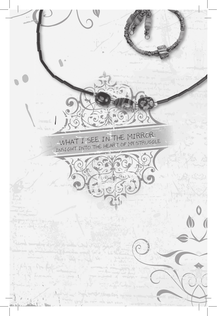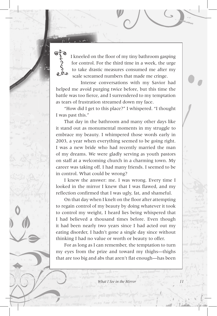Ofo I kneeled on the floor of my tiny bathroom gasping for control. For the third time in a week, the urge to take drastic measures consumed me after my scale screamed numbers that made me cringe.

Intense conversations with my Savior had helped me avoid purging twice before, but this time the battle was too fierce, and I surrendered to my temptation as tears of frustration streamed down my face.

"How did I get to this place?" I whispered. "I thought I was past this."

That day in the bathroom and many other days like it stand out as monumental moments in my struggle to embrace my beauty. I whimpered those words early in 2003, a year when everything seemed to be going right. I was a new bride who had recently married the man of my dreams. We were gladly serving as youth pastors on staff at a welcoming church in a charming town. My career was taking off. I had many friends. I seemed to be in control. What could be wrong?

I knew the answer: me. I was wrong. Every time I looked in the mirror I knew that I was flawed, and my reflection confirmed that I was ugly, fat, and shameful.

On that day when I knelt on the floor after attempting to regain control of my beauty by doing whatever it took to control my weight, I heard lies being whispered that I had believed a thousand times before. Even though it had been nearly two years since I had acted out my eating disorder, I hadn't gone a single day since without thinking I had no value or worth or beauty to offer.

For as long as I can remember, the temptation to turn my eyes from the prize and toward my thighs—thighs that are too big and abs that aren't flat enough—has been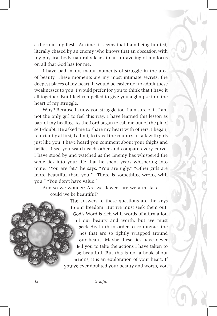a thorn in my flesh. At times it seems that I am being hunted, literally chased by an enemy who knows that an obsession with my physical body naturally leads to an unraveling of my focus on all that God has for me.

I have had many, many moments of struggle in the area of beauty. These moments are my most intimate secrets, the deepest places of my heart. It would be easier not to admit these weaknesses to you. I would prefer for you to think that I have it all together. But I feel compelled to give you a glimpse into the heart of my struggle.

Why? Because I know you struggle too. I am sure of it. I am not the only girl to feel this way. I have learned this lesson as part of my healing. As the Lord began to call me out of the pit of self-doubt, He asked me to share my heart with others. I began, reluctantly at first, I admit, to travel the country to talk with girls just like you. I have heard you comment about your thighs and bellies. I see you watch each other and compare every curve. I have stood by and watched as the Enemy has whispered the same lies into your life that he spent years whispering into mine. "You are fat," he says. "You are ugly." "Other girls are more beautiful than you." "There is something wrong with you." "You don't have value."

And so we wonder: Are we flawed, are we a mistake . . . could we be beautiful?

> The answers to these questions are the keys to our freedom. But we must seek them out. God's Word is rich with words of affirmation of our beauty and worth, but we must seek His truth in order to counteract the lies that are so tightly wrapped around our hearts. Maybe these lies have never led you to take the actions I have taken to be beautiful. But this is not a book about be beautiful. But this is not a book about actions; it is an exploration of your heart. If you've ever doubted your beauty and worth, you you've ever doubted your beauty and worth, you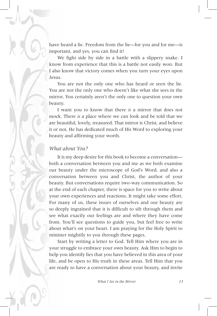have heard a lie. Freedom from the lie—for you and for me—is important, and yes, you can find it!

We fight side by side in a battle with a slippery snake. I know from experience that this is a battle not easily won. But I also know that victory comes when you turn your eyes upon Jesus.

You are not the only one who has heard or seen the lie. You are not the only one who doesn't like what she sees in the mirror. You certainly aren't the only one to question your own beauty.

I want you to know that there *is* a mirror that does not mock. There *is* a place where we can look and be told that we are beautiful, lovely, treasured. That mirror is Christ, and believe it or not, He has dedicated much of His Word to exploring your beauty and affirming your worth.

## *What about You?*

It is my deep desire for this book to become a conversation both a conversation between you and me as we both examine our beauty under the microscope of God's Word, and also a conversation between you and Christ, the author of your beauty. But conversations require two-way communication. So at the end of each chapter, there is space for you to write about your own experiences and reactions. It might take some effort. For many of us, these issues of ourselves and our beauty are so deeply ingrained that it is difficult to sift through them and see what exactly our feelings are and where they have come from. You'll see questions to guide you, but feel free to write about what's on your heart. I am praying for the Holy Spirit to minister mightily to you through these pages.

Start by writing a letter to God. Tell Him where you are in your struggle to embrace your own beauty. Ask Him to begin to help you identify lies that you have believed in this area of your life, and be open to His truth in these areas. Tell Him that you are ready to have a conversation about your beauty, and invite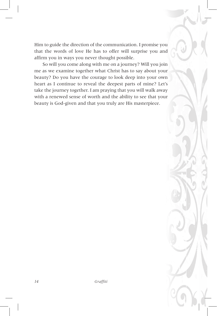Him to guide the direction of the communication. I promise you that the words of love He has to offer will surprise you and affirm you in ways you never thought possible.

So will you come along with me on a journey? Will you join me as we examine together what Christ has to say about your beauty? Do you have the courage to look deep into your own heart as I continue to reveal the deepest parts of mine? Let's take the journey together. I am praying that you will walk away with a renewed sense of worth and the ability to see that your beauty is God-given and that you truly are His masterpiece.